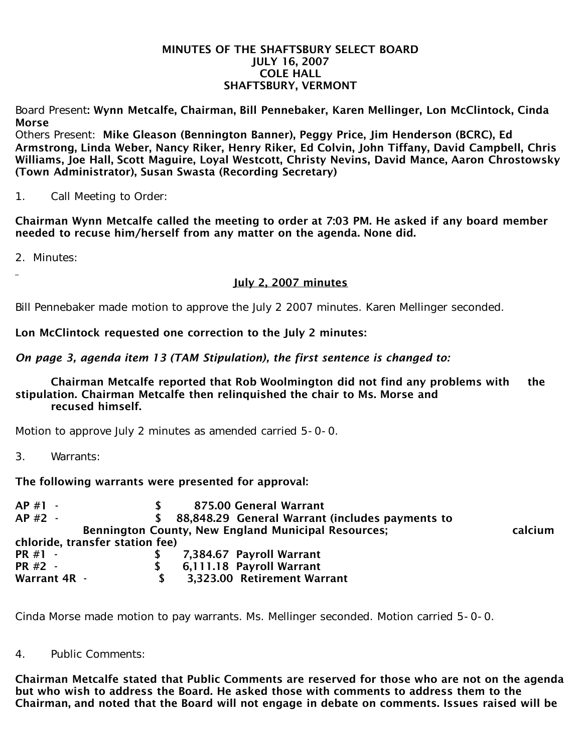#### MINUTES OF THE SHAFTSBURY SELECT BOARD JULY 16, 2007 COLE HALL SHAFTSBURY, VERMONT

Board Present: Wynn Metcalfe, Chairman, Bill Pennebaker, Karen Mellinger, Lon McClintock, Cinda Morse

Others Present: Mike Gleason (Bennington Banner), Peggy Price, Jim Henderson (BCRC), Ed Armstrong, Linda Weber, Nancy Riker, Henry Riker, Ed Colvin, John Tiffany, David Campbell, Chris Williams, Joe Hall, Scott Maguire, Loyal Westcott, Christy Nevins, David Mance, Aaron Chrostowsky (Town Administrator), Susan Swasta (Recording Secretary)

# 1. Call Meeting to Order:

Chairman Wynn Metcalfe called the meeting to order at 7:03 PM. He asked if any board member needed to recuse him/herself from any matter on the agenda. None did.

2. Minutes:

July 2, 2007 minutes

Bill Pennebaker made motion to approve the July 2 2007 minutes. Karen Mellinger seconded.

Lon McClintock requested one correction to the July 2 minutes:

*On page 3, agenda item 13 (TAM Stipulation), the first sentence is changed to:*

Chairman Metcalfe reported that Rob Woolmington did not find any problems with the stipulation. Chairman Metcalfe then relinquished the chair to Ms. Morse and recused himself.

Motion to approve July 2 minutes as amended carried 5-0-0.

3. Warrants:

The following warrants were presented for approval:

AP #1 - \$ 875.00 General Warrant AP #2 - \$ 88.848.29 General Warrant (includes payments to Bennington County, New England Municipal Resources; entitled the calcium chloride, transfer station fee) PR #1 - \$ 7,384.67 Payroll Warrant PR #2 - \$ 6,111.18 Payroll Warrant Warrant 4R - \$ 3.323.00 Retirement Warrant

Cinda Morse made motion to pay warrants. Ms. Mellinger seconded. Motion carried 5-0-0.

4. Public Comments:

Chairman Metcalfe stated that Public Comments are reserved for those who are not on the agenda but who wish to address the Board. He asked those with comments to address them to the Chairman, and noted that the Board will not engage in debate on comments. Issues raised will be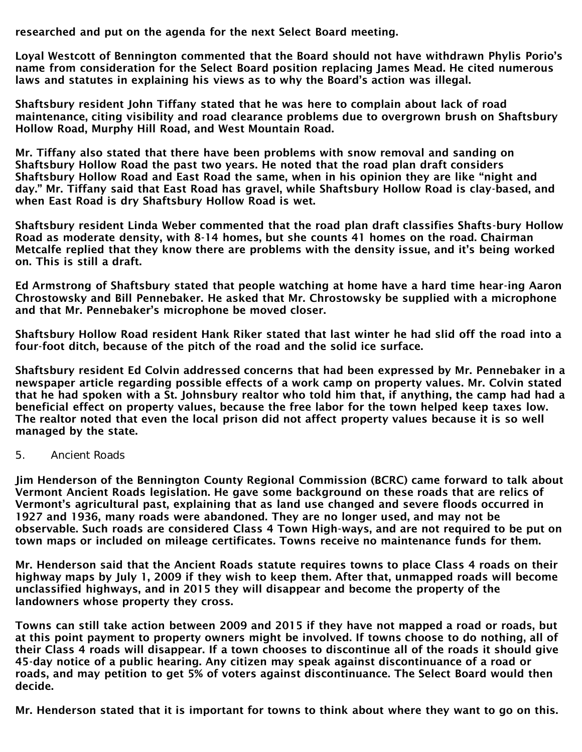researched and put on the agenda for the next Select Board meeting.

Loyal Westcott of Bennington commented that the Board should not have withdrawn Phylis Porio's name from consideration for the Select Board position replacing James Mead. He cited numerous laws and statutes in explaining his views as to why the Board's action was illegal.

Shaftsbury resident John Tiffany stated that he was here to complain about lack of road maintenance, citing visibility and road clearance problems due to overgrown brush on Shaftsbury Hollow Road, Murphy Hill Road, and West Mountain Road.

Mr. Tiffany also stated that there have been problems with snow removal and sanding on Shaftsbury Hollow Road the past two years. He noted that the road plan draft considers Shaftsbury Hollow Road and East Road the same, when in his opinion they are like "night and day." Mr. Tiffany said that East Road has gravel, while Shaftsbury Hollow Road is clay-based, and when East Road is dry Shaftsbury Hollow Road is wet.

Shaftsbury resident Linda Weber commented that the road plan draft classifies Shafts-bury Hollow Road as moderate density, with 8-14 homes, but she counts 41 homes on the road. Chairman Metcalfe replied that they know there are problems with the density issue, and it's being worked on. This is still a draft.

Ed Armstrong of Shaftsbury stated that people watching at home have a hard time hear-ing Aaron Chrostowsky and Bill Pennebaker. He asked that Mr. Chrostowsky be supplied with a microphone and that Mr. Pennebaker's microphone be moved closer.

Shaftsbury Hollow Road resident Hank Riker stated that last winter he had slid off the road into a four-foot ditch, because of the pitch of the road and the solid ice surface.

Shaftsbury resident Ed Colvin addressed concerns that had been expressed by Mr. Pennebaker in a newspaper article regarding possible effects of a work camp on property values. Mr. Colvin stated that he had spoken with a St. Johnsbury realtor who told him that, if anything, the camp had had a beneficial effect on property values, because the free labor for the town helped keep taxes low. The realtor noted that even the local prison did not affect property values because it is so well managed by the state.

#### 5. Ancient Roads

Jim Henderson of the Bennington County Regional Commission (BCRC) came forward to talk about Vermont Ancient Roads legislation. He gave some background on these roads that are relics of Vermont's agricultural past, explaining that as land use changed and severe floods occurred in 1927 and 1936, many roads were abandoned. They are no longer used, and may not be observable. Such roads are considered Class 4 Town High-ways, and are not required to be put on town maps or included on mileage certificates. Towns receive no maintenance funds for them.

Mr. Henderson said that the Ancient Roads statute requires towns to place Class 4 roads on their highway maps by July 1, 2009 if they wish to keep them. After that, unmapped roads will become unclassified highways, and in 2015 they will disappear and become the property of the landowners whose property they cross.

Towns can still take action between 2009 and 2015 if they have not mapped a road or roads, but at this point payment to property owners might be involved. If towns choose to do nothing, all of their Class 4 roads will disappear. If a town chooses to discontinue all of the roads it should give 45-day notice of a public hearing. Any citizen may speak against discontinuance of a road or roads, and may petition to get 5% of voters against discontinuance. The Select Board would then decide.

Mr. Henderson stated that it is important for towns to think about where they want to go on this.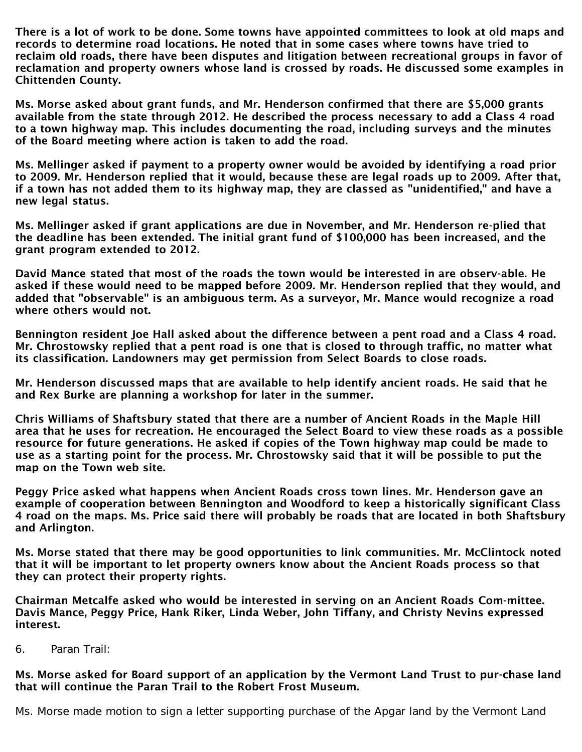There is a lot of work to be done. Some towns have appointed committees to look at old maps and records to determine road locations. He noted that in some cases where towns have tried to reclaim old roads, there have been disputes and litigation between recreational groups in favor of reclamation and property owners whose land is crossed by roads. He discussed some examples in Chittenden County.

Ms. Morse asked about grant funds, and Mr. Henderson confirmed that there are \$5,000 grants available from the state through 2012. He described the process necessary to add a Class 4 road to a town highway map. This includes documenting the road, including surveys and the minutes of the Board meeting where action is taken to add the road.

Ms. Mellinger asked if payment to a property owner would be avoided by identifying a road prior to 2009. Mr. Henderson replied that it would, because these are legal roads up to 2009. After that, if a town has not added them to its highway map, they are classed as "unidentified," and have a new legal status.

Ms. Mellinger asked if grant applications are due in November, and Mr. Henderson re-plied that the deadline has been extended. The initial grant fund of \$100,000 has been increased, and the grant program extended to 2012.

David Mance stated that most of the roads the town would be interested in are observ-able. He asked if these would need to be mapped before 2009. Mr. Henderson replied that they would, and added that "observable" is an ambiguous term. As a surveyor, Mr. Mance would recognize a road where others would not.

Bennington resident Joe Hall asked about the difference between a pent road and a Class 4 road. Mr. Chrostowsky replied that a pent road is one that is closed to through traffic, no matter what its classification. Landowners may get permission from Select Boards to close roads.

Mr. Henderson discussed maps that are available to help identify ancient roads. He said that he and Rex Burke are planning a workshop for later in the summer.

Chris Williams of Shaftsbury stated that there are a number of Ancient Roads in the Maple Hill area that he uses for recreation. He encouraged the Select Board to view these roads as a possible resource for future generations. He asked if copies of the Town highway map could be made to use as a starting point for the process. Mr. Chrostowsky said that it will be possible to put the map on the Town web site.

Peggy Price asked what happens when Ancient Roads cross town lines. Mr. Henderson gave an example of cooperation between Bennington and Woodford to keep a historically significant Class 4 road on the maps. Ms. Price said there will probably be roads that are located in both Shaftsbury and Arlington.

Ms. Morse stated that there may be good opportunities to link communities. Mr. McClintock noted that it will be important to let property owners know about the Ancient Roads process so that they can protect their property rights.

Chairman Metcalfe asked who would be interested in serving on an Ancient Roads Com-mittee. Davis Mance, Peggy Price, Hank Riker, Linda Weber, John Tiffany, and Christy Nevins expressed interest.

6. Paran Trail:

# Ms. Morse asked for Board support of an application by the Vermont Land Trust to pur-chase land that will continue the Paran Trail to the Robert Frost Museum.

Ms. Morse made motion to sign a letter supporting purchase of the Apgar land by the Vermont Land